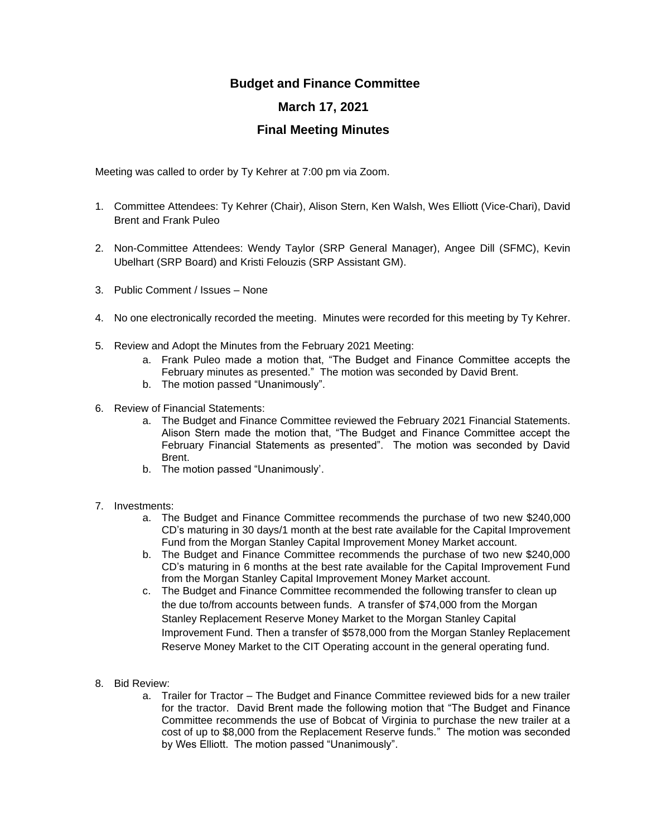## **Budget and Finance Committee**

## **March 17, 2021**

## **Final Meeting Minutes**

Meeting was called to order by Ty Kehrer at 7:00 pm via Zoom.

- 1. Committee Attendees: Ty Kehrer (Chair), Alison Stern, Ken Walsh, Wes Elliott (Vice-Chari), David Brent and Frank Puleo
- 2. Non-Committee Attendees: Wendy Taylor (SRP General Manager), Angee Dill (SFMC), Kevin Ubelhart (SRP Board) and Kristi Felouzis (SRP Assistant GM).
- 3. Public Comment / Issues None
- 4. No one electronically recorded the meeting. Minutes were recorded for this meeting by Ty Kehrer.
- 5. Review and Adopt the Minutes from the February 2021 Meeting:
	- a. Frank Puleo made a motion that, "The Budget and Finance Committee accepts the February minutes as presented." The motion was seconded by David Brent.
	- b. The motion passed "Unanimously".
- 6. Review of Financial Statements:
	- a. The Budget and Finance Committee reviewed the February 2021 Financial Statements. Alison Stern made the motion that, "The Budget and Finance Committee accept the February Financial Statements as presented". The motion was seconded by David Brent.
	- b. The motion passed "Unanimously'.
- 7. Investments:
	- a. The Budget and Finance Committee recommends the purchase of two new \$240,000 CD's maturing in 30 days/1 month at the best rate available for the Capital Improvement Fund from the Morgan Stanley Capital Improvement Money Market account.
	- b. The Budget and Finance Committee recommends the purchase of two new \$240,000 CD's maturing in 6 months at the best rate available for the Capital Improvement Fund from the Morgan Stanley Capital Improvement Money Market account.
	- c. The Budget and Finance Committee recommended the following transfer to clean up the due to/from accounts between funds. A transfer of \$74,000 from the Morgan Stanley Replacement Reserve Money Market to the Morgan Stanley Capital Improvement Fund. Then a transfer of \$578,000 from the Morgan Stanley Replacement Reserve Money Market to the CIT Operating account in the general operating fund.
- 8. Bid Review:
	- a. Trailer for Tractor The Budget and Finance Committee reviewed bids for a new trailer for the tractor. David Brent made the following motion that "The Budget and Finance Committee recommends the use of Bobcat of Virginia to purchase the new trailer at a cost of up to \$8,000 from the Replacement Reserve funds." The motion was seconded by Wes Elliott. The motion passed "Unanimously".